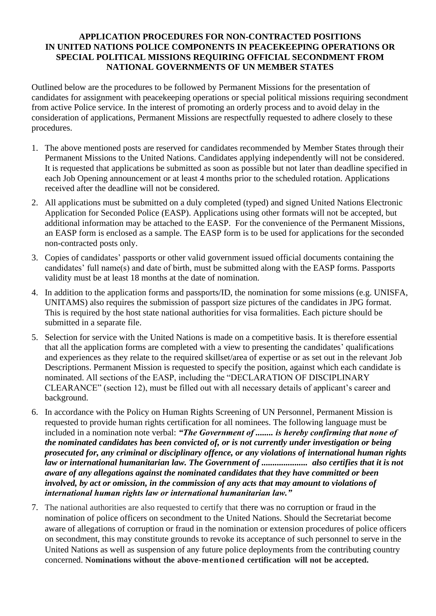## **APPLICATION PROCEDURES FOR NON-CONTRACTED POSITIONS IN UNITED NATIONS POLICE COMPONENTS IN PEACEKEEPING OPERATIONS OR SPECIAL POLITICAL MISSIONS REQUIRING OFFICIAL SECONDMENT FROM NATIONAL GOVERNMENTS OF UN MEMBER STATES**

Outlined below are the procedures to be followed by Permanent Missions for the presentation of candidates for assignment with peacekeeping operations or special political missions requiring secondment from active Police service. In the interest of promoting an orderly process and to avoid delay in the consideration of applications, Permanent Missions are respectfully requested to adhere closely to these procedures.

- 1. The above mentioned posts are reserved for candidates recommended by Member States through their Permanent Missions to the United Nations. Candidates applying independently will not be considered. It is requested that applications be submitted as soon as possible but not later than deadline specified in each Job Opening announcement or at least 4 months prior to the scheduled rotation. Applications received after the deadline will not be considered.
- 2. All applications must be submitted on a duly completed (typed) and signed United Nations Electronic Application for Seconded Police (EASP). Applications using other formats will not be accepted, but additional information may be attached to the EASP. For the convenience of the Permanent Missions, an EASP form is enclosed as a sample. The EASP form is to be used for applications for the seconded non-contracted posts only.
- 3. Copies of candidates' passports or other valid government issued official documents containing the candidates' full name(s) and date of birth, must be submitted along with the EASP forms. Passports validity must be at least 18 months at the date of nomination.
- 4. In addition to the application forms and passports/ID, the nomination for some missions (e.g. UNISFA, UNITAMS) also requires the submission of passport size pictures of the candidates in JPG format. This is required by the host state national authorities for visa formalities. Each picture should be submitted in a separate file.
- 5. Selection for service with the United Nations is made on a competitive basis. It is therefore essential that all the application forms are completed with a view to presenting the candidates' qualifications and experiences as they relate to the required skillset/area of expertise or as set out in the relevant Job Descriptions. Permanent Mission is requested to specify the position, against which each candidate is nominated. All sections of the EASP, including the "DECLARATION OF DISCIPLINARY CLEARANCE" (section 12), must be filled out with all necessary details of applicant's career and background.
- 6. In accordance with the Policy on Human Rights Screening of UN Personnel, Permanent Mission is requested to provide human rights certification for all nominees. The following language must be included in a nomination note verbal: *"The Government of ........ is hereby confirming that none of the nominated candidates has been convicted of, or is not currently under investigation or being prosecuted for, any criminal or disciplinary offence, or any violations of international human rights law or international humanitarian law. The Government of ..................... also certifies that it is not aware of any allegations against the nominated candidates that they have committed or been involved, by act or omission, in the commission of any acts that may amount to violations of international human rights law or international humanitarian law."*
- 7. The national authorities are also requested to certify that there was no corruption or fraud in the nomination of police officers on secondment to the United Nations. Should the Secretariat become aware of allegations of corruption or fraud in the nomination or extension procedures of police officers on secondment, this may constitute grounds to revoke its acceptance of such personnel to serve in the United Nations as well as suspension of any future police deployments from the contributing country concerned. **Nominations without the above-mentioned certification will not be accepted.**